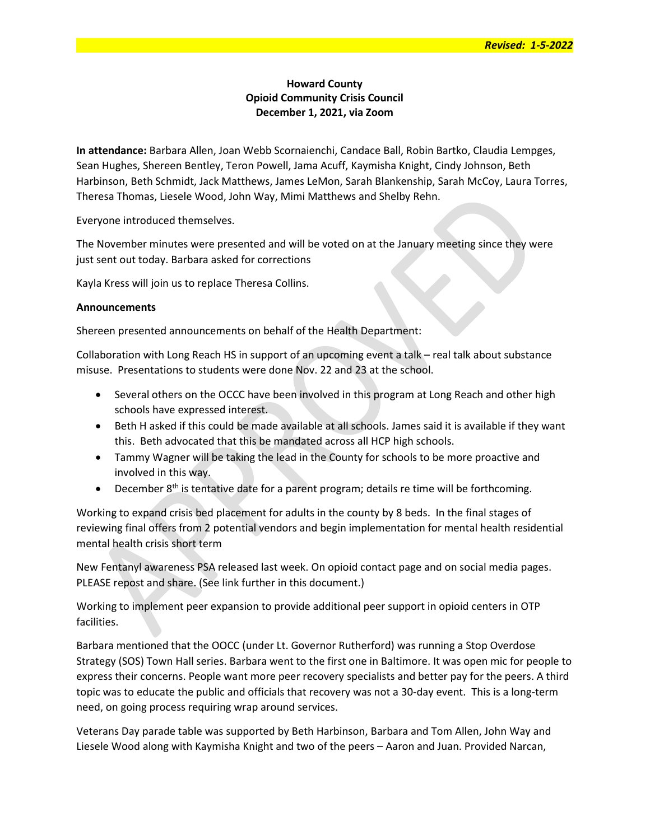# Howard County Opioid Community Crisis Council December 1, 2021, via Zoom

In attendance: Barbara Allen, Joan Webb Scornaienchi, Candace Ball, Robin Bartko, Claudia Lempges, Sean Hughes, Shereen Bentley, Teron Powell, Jama Acuff, Kaymisha Knight, Cindy Johnson, Beth Harbinson, Beth Schmidt, Jack Matthews, James LeMon, Sarah Blankenship, Sarah McCoy, Laura Torres, Theresa Thomas, Liesele Wood, John Way, Mimi Matthews and Shelby Rehn.

Everyone introduced themselves.

The November minutes were presented and will be voted on at the January meeting since they were just sent out today. Barbara asked for corrections

Kayla Kress will join us to replace Theresa Collins.

### Announcements

Shereen presented announcements on behalf of the Health Department:

Collaboration with Long Reach HS in support of an upcoming event a talk – real talk about substance misuse. Presentations to students were done Nov. 22 and 23 at the school.

- Several others on the OCCC have been involved in this program at Long Reach and other high schools have expressed interest.
- Beth H asked if this could be made available at all schools. James said it is available if they want this. Beth advocated that this be mandated across all HCP high schools.
- Tammy Wagner will be taking the lead in the County for schools to be more proactive and involved in this way.
- **•** December  $8<sup>th</sup>$  is tentative date for a parent program; details re time will be forthcoming.

Working to expand crisis bed placement for adults in the county by 8 beds. In the final stages of reviewing final offers from 2 potential vendors and begin implementation for mental health residential mental health crisis short term

New Fentanyl awareness PSA released last week. On opioid contact page and on social media pages. PLEASE repost and share. (See link further in this document.)

Working to implement peer expansion to provide additional peer support in opioid centers in OTP facilities.

Barbara mentioned that the OOCC (under Lt. Governor Rutherford) was running a Stop Overdose Strategy (SOS) Town Hall series. Barbara went to the first one in Baltimore. It was open mic for people to express their concerns. People want more peer recovery specialists and better pay for the peers. A third topic was to educate the public and officials that recovery was not a 30-day event. This is a long-term need, on going process requiring wrap around services.

Veterans Day parade table was supported by Beth Harbinson, Barbara and Tom Allen, John Way and Liesele Wood along with Kaymisha Knight and two of the peers – Aaron and Juan. Provided Narcan,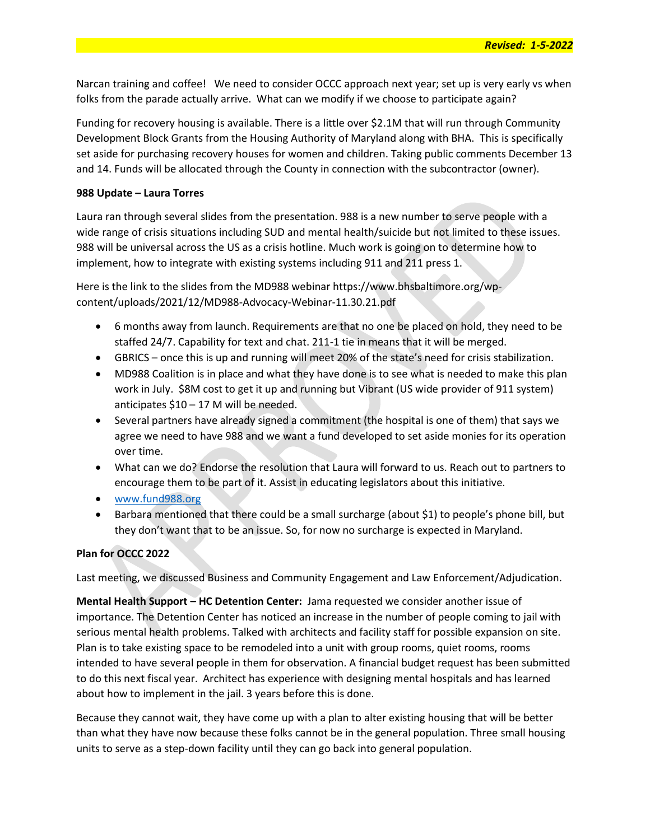Revised: 1-5-2022

Narcan training and coffee! We need to consider OCCC approach next year; set up is very early vs when folks from the parade actually arrive. What can we modify if we choose to participate again?

Funding for recovery housing is available. There is a little over \$2.1M that will run through Community Development Block Grants from the Housing Authority of Maryland along with BHA. This is specifically set aside for purchasing recovery houses for women and children. Taking public comments December 13 and 14. Funds will be allocated through the County in connection with the subcontractor (owner).

### 988 Update – Laura Torres

Laura ran through several slides from the presentation. 988 is a new number to serve people with a wide range of crisis situations including SUD and mental health/suicide but not limited to these issues. 988 will be universal across the US as a crisis hotline. Much work is going on to determine how to implement, how to integrate with existing systems including 911 and 211 press 1.

Here is the link to the slides from the MD988 webinar https://www.bhsbaltimore.org/wpcontent/uploads/2021/12/MD988-Advocacy-Webinar-11.30.21.pdf

- 6 months away from launch. Requirements are that no one be placed on hold, they need to be staffed 24/7. Capability for text and chat. 211-1 tie in means that it will be merged.
- GBRICS once this is up and running will meet 20% of the state's need for crisis stabilization.
- MD988 Coalition is in place and what they have done is to see what is needed to make this plan work in July. \$8M cost to get it up and running but Vibrant (US wide provider of 911 system) anticipates \$10 – 17 M will be needed.
- Several partners have already signed a commitment (the hospital is one of them) that says we agree we need to have 988 and we want a fund developed to set aside monies for its operation over time.
- What can we do? Endorse the resolution that Laura will forward to us. Reach out to partners to encourage them to be part of it. Assist in educating legislators about this initiative.
- www.fund988.org
- Barbara mentioned that there could be a small surcharge (about \$1) to people's phone bill, but they don't want that to be an issue. So, for now no surcharge is expected in Maryland.

# Plan for OCCC 2022

Last meeting, we discussed Business and Community Engagement and Law Enforcement/Adjudication.

Mental Health Support – HC Detention Center: Jama requested we consider another issue of importance. The Detention Center has noticed an increase in the number of people coming to jail with serious mental health problems. Talked with architects and facility staff for possible expansion on site. Plan is to take existing space to be remodeled into a unit with group rooms, quiet rooms, rooms intended to have several people in them for observation. A financial budget request has been submitted to do this next fiscal year. Architect has experience with designing mental hospitals and has learned about how to implement in the jail. 3 years before this is done.

Because they cannot wait, they have come up with a plan to alter existing housing that will be better than what they have now because these folks cannot be in the general population. Three small housing units to serve as a step-down facility until they can go back into general population.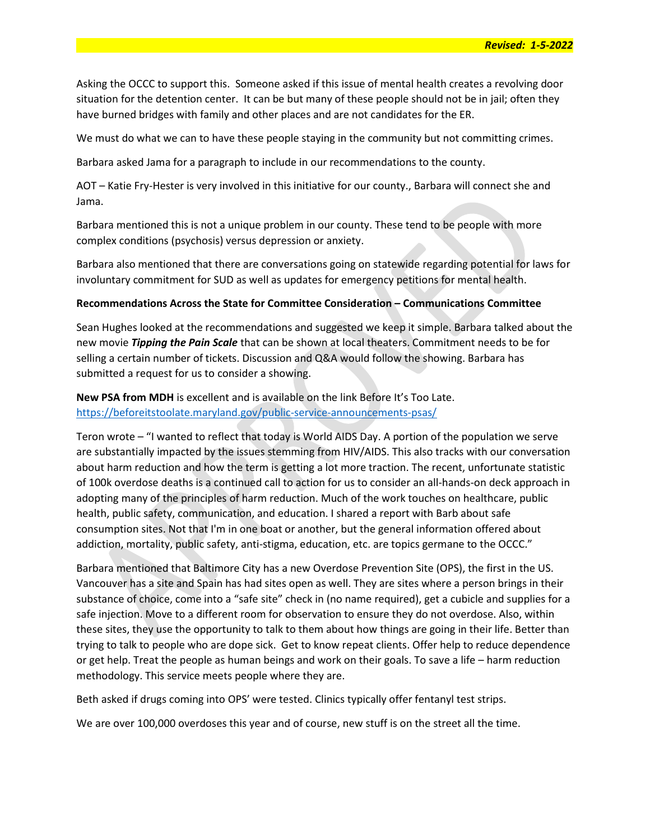Asking the OCCC to support this. Someone asked if this issue of mental health creates a revolving door situation for the detention center. It can be but many of these people should not be in jail; often they have burned bridges with family and other places and are not candidates for the ER.

We must do what we can to have these people staying in the community but not committing crimes.

Barbara asked Jama for a paragraph to include in our recommendations to the county.

AOT – Katie Fry-Hester is very involved in this initiative for our county., Barbara will connect she and Jama.

Barbara mentioned this is not a unique problem in our county. These tend to be people with more complex conditions (psychosis) versus depression or anxiety.

Barbara also mentioned that there are conversations going on statewide regarding potential for laws for involuntary commitment for SUD as well as updates for emergency petitions for mental health.

#### Recommendations Across the State for Committee Consideration – Communications Committee

Sean Hughes looked at the recommendations and suggested we keep it simple. Barbara talked about the new movie Tipping the Pain Scale that can be shown at local theaters. Commitment needs to be for selling a certain number of tickets. Discussion and Q&A would follow the showing. Barbara has submitted a request for us to consider a showing.

New PSA from MDH is excellent and is available on the link Before It's Too Late. https://beforeitstoolate.maryland.gov/public-service-announcements-psas/

Teron wrote – "I wanted to reflect that today is World AIDS Day. A portion of the population we serve are substantially impacted by the issues stemming from HIV/AIDS. This also tracks with our conversation about harm reduction and how the term is getting a lot more traction. The recent, unfortunate statistic of 100k overdose deaths is a continued call to action for us to consider an all-hands-on deck approach in adopting many of the principles of harm reduction. Much of the work touches on healthcare, public health, public safety, communication, and education. I shared a report with Barb about safe consumption sites. Not that I'm in one boat or another, but the general information offered about addiction, mortality, public safety, anti-stigma, education, etc. are topics germane to the OCCC."

Barbara mentioned that Baltimore City has a new Overdose Prevention Site (OPS), the first in the US. Vancouver has a site and Spain has had sites open as well. They are sites where a person brings in their substance of choice, come into a "safe site" check in (no name required), get a cubicle and supplies for a safe injection. Move to a different room for observation to ensure they do not overdose. Also, within these sites, they use the opportunity to talk to them about how things are going in their life. Better than trying to talk to people who are dope sick. Get to know repeat clients. Offer help to reduce dependence or get help. Treat the people as human beings and work on their goals. To save a life – harm reduction methodology. This service meets people where they are.

Beth asked if drugs coming into OPS' were tested. Clinics typically offer fentanyl test strips.

We are over 100,000 overdoses this year and of course, new stuff is on the street all the time.